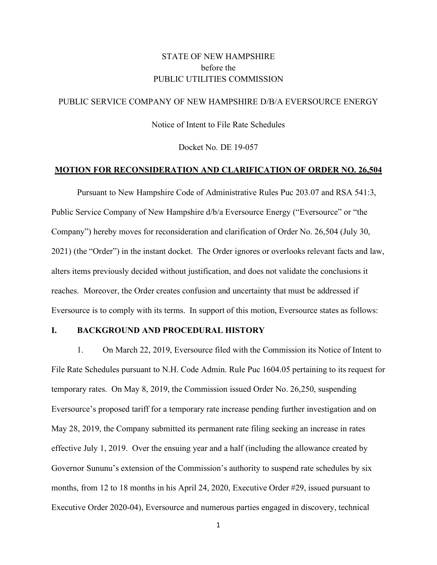## STATE OF NEW HAMPSHIRE before the PUBLIC UTILITIES COMMISSION

### PUBLIC SERVICE COMPANY OF NEW HAMPSHIRE D/B/A EVERSOURCE ENERGY

Notice of Intent to File Rate Schedules

Docket No. DE 19-057

#### **MOTION FOR RECONSIDERATION AND CLARIFICATION OF ORDER NO. 26,504**

Pursuant to New Hampshire Code of Administrative Rules Puc 203.07 and RSA 541:3, Public Service Company of New Hampshire  $d/b/a$  Eversource Energy ("Eversource" or "the Company") hereby moves for reconsideration and clarification of Order No. 26,504 (July 30, 2021) (the "Order") in the instant docket. The Order ignores or overlooks relevant facts and law, alters items previously decided without justification, and does not validate the conclusions it reaches. Moreover, the Order creates confusion and uncertainty that must be addressed if Eversource is to comply with its terms. In support of this motion, Eversource states as follows:

#### **I. BACKGROUND AND PROCEDURAL HISTORY**

1. On March 22, 2019, Eversource filed with the Commission its Notice of Intent to File Rate Schedules pursuant to N.H. Code Admin. Rule Puc 1604.05 pertaining to its request for temporary rates. On May 8, 2019, the Commission issued Order No. 26,250, suspending Eversource's proposed tariff for a temporary rate increase pending further investigation and on May 28, 2019, the Company submitted its permanent rate filing seeking an increase in rates effective July 1, 2019. Over the ensuing year and a half (including the allowance created by Governor Sununu's extension of the Commission's authority to suspend rate schedules by six months, from 12 to 18 months in his April 24, 2020, Executive Order #29, issued pursuant to Executive Order 2020-04), Eversource and numerous parties engaged in discovery, technical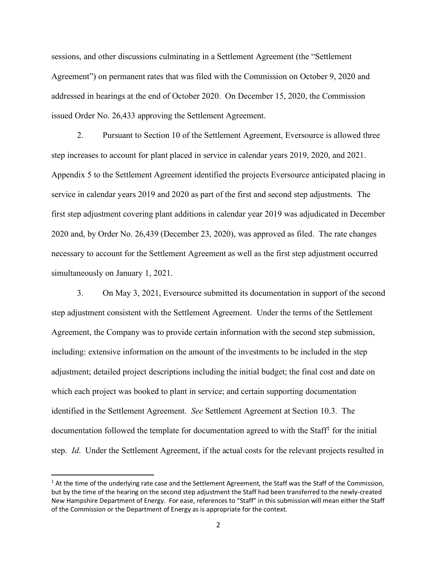sessions, and other discussions culminating in a Settlement Agreement (the "Settlement Agreement") on permanent rates that was filed with the Commission on October 9, 2020 and addressed in hearings at the end of October 2020. On December 15, 2020, the Commission issued Order No. 26,433 approving the Settlement Agreement.

2. Pursuant to Section 10 of the Settlement Agreement, Eversource is allowed three step increases to account for plant placed in service in calendar years 2019, 2020, and 2021. Appendix 5 to the Settlement Agreement identified the projects Eversource anticipated placing in service in calendar years 2019 and 2020 as part of the first and second step adjustments. The first step adjustment covering plant additions in calendar year 2019 was adjudicated in December 2020 and, by Order No. 26,439 (December 23, 2020), was approved as filed. The rate changes necessary to account for the Settlement Agreement as well as the first step adjustment occurred simultaneously on January 1, 2021.

3. On May 3, 2021, Eversource submitted its documentation in support of the second step adjustment consistent with the Settlement Agreement. Under the terms of the Settlement Agreement, the Company was to provide certain information with the second step submission, including: extensive information on the amount of the investments to be included in the step adjustment; detailed project descriptions including the initial budget; the final cost and date on which each project was booked to plant in service; and certain supporting documentation identified in the Settlement Agreement. *See* Settlement Agreement at Section 10.3. The documentation followed the template for documentation agreed to with the Staff<sup>[1](#page-1-0)</sup> for the initial step. *Id*. Under the Settlement Agreement, if the actual costs for the relevant projects resulted in

<span id="page-1-0"></span> $1$  At the time of the underlying rate case and the Settlement Agreement, the Staff was the Staff of the Commission, but by the time of the hearing on the second step adjustment the Staff had been transferred to the newly-created New Hampshire Department of Energy. For ease, references to "Staff" in this submission will mean either the Staff of the Commission or the Department of Energy as is appropriate for the context.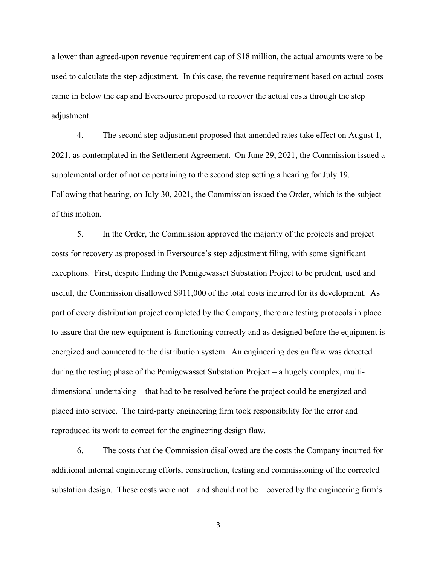a lower than agreed-upon revenue requirement cap of \$18 million, the actual amounts were to be used to calculate the step adjustment. In this case, the revenue requirement based on actual costs came in below the cap and Eversource proposed to recover the actual costs through the step adjustment.

4. The second step adjustment proposed that amended rates take effect on August 1, 2021, as contemplated in the Settlement Agreement. On June 29, 2021, the Commission issued a supplemental order of notice pertaining to the second step setting a hearing for July 19. Following that hearing, on July 30, 2021, the Commission issued the Order, which is the subject of this motion.

5. In the Order, the Commission approved the majority of the projects and project costs for recovery as proposed in Eversource's step adjustment filing, with some significant exceptions. First, despite finding the Pemigewasset Substation Project to be prudent, used and useful, the Commission disallowed \$911,000 of the total costs incurred for its development. As part of every distribution project completed by the Company, there are testing protocols in place to assure that the new equipment is functioning correctly and as designed before the equipment is energized and connected to the distribution system. An engineering design flaw was detected during the testing phase of the Pemigewasset Substation Project – a hugely complex, multidimensional undertaking – that had to be resolved before the project could be energized and placed into service. The third-party engineering firm took responsibility for the error and reproduced its work to correct for the engineering design flaw.

6. The costs that the Commission disallowed are the costs the Company incurred for additional internal engineering efforts, construction, testing and commissioning of the corrected substation design. These costs were not – and should not be – covered by the engineering firm's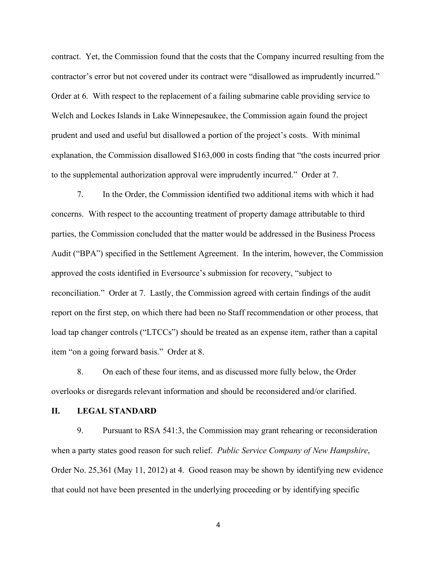contract. Yet, the Commission found that the costs that the Company incurred resulting from the contractor's error but not covered under its contract were "disallowed as imprudently incurred." Order at 6. With respect to the replacement of a failing submarine cable providing service to Welch and Lockes Islands in Lake Winnepesaukee, the Commission again found the project prudent and used and useful but disallowed a portion of the project's costs. With minimal explanation, the Commission disallowed \$163,000 in costs finding that "the costs incurred prior to the supplemental authorization approval were imprudently incurred." Order at 7.

7. In the Order, the Commission identified two additional items with which it had concerns. With respect to the accounting treatment of property damage attributable to third parties, the Commission concluded that the matter would be addressed in the Business Process Audit ("BPA") specified in the Settlement Agreement. In the interim, however, the Commission approved the costs identified in Eversource's submission for recovery, "subject to reconciliation." Order at 7. Lastly, the Commission agreed with certain findings of the audit report on the first step, on which there had been no Staff recommendation or other process, that load tap changer controls ("LTCCs") should be treated as an expense item, rather than a capital item "on a going forward basis." Order at 8.

8. On each of these four items, and as discussed more fully below, the Order overlooks or disregards relevant information and should be reconsidered and/or clarified.

#### **II. LEGAL STANDARD**

9. Pursuant to RSA 541:3, the Commission may grant rehearing or reconsideration when a party states good reason for such relief. *Public Service Company of New Hampshire*, Order No. 25,361 (May 11, 2012) at 4. Good reason may be shown by identifying new evidence that could not have been presented in the underlying proceeding or by identifying specific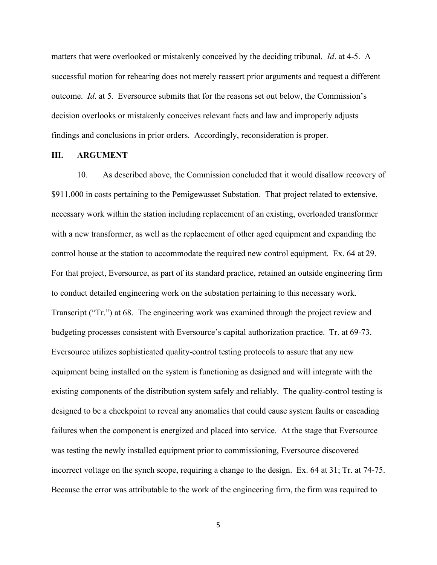matters that were overlooked or mistakenly conceived by the deciding tribunal. *Id*. at 4-5. A successful motion for rehearing does not merely reassert prior arguments and request a different outcome. *Id*. at 5. Eversource submits that for the reasons set out below, the Commission's decision overlooks or mistakenly conceives relevant facts and law and improperly adjusts findings and conclusions in prior orders. Accordingly, reconsideration is proper.

#### **III. ARGUMENT**

10. As described above, the Commission concluded that it would disallow recovery of \$911,000 in costs pertaining to the Pemigewasset Substation. That project related to extensive, necessary work within the station including replacement of an existing, overloaded transformer with a new transformer, as well as the replacement of other aged equipment and expanding the control house at the station to accommodate the required new control equipment. Ex. 64 at 29. For that project, Eversource, as part of its standard practice, retained an outside engineering firm to conduct detailed engineering work on the substation pertaining to this necessary work. Transcript ("Tr.") at 68. The engineering work was examined through the project review and budgeting processes consistent with Eversource's capital authorization practice. Tr. at 69-73. Eversource utilizes sophisticated quality-control testing protocols to assure that any new equipment being installed on the system is functioning as designed and will integrate with the existing components of the distribution system safely and reliably. The quality-control testing is designed to be a checkpoint to reveal any anomalies that could cause system faults or cascading failures when the component is energized and placed into service. At the stage that Eversource was testing the newly installed equipment prior to commissioning, Eversource discovered incorrect voltage on the synch scope, requiring a change to the design. Ex. 64 at 31; Tr. at 74-75. Because the error was attributable to the work of the engineering firm, the firm was required to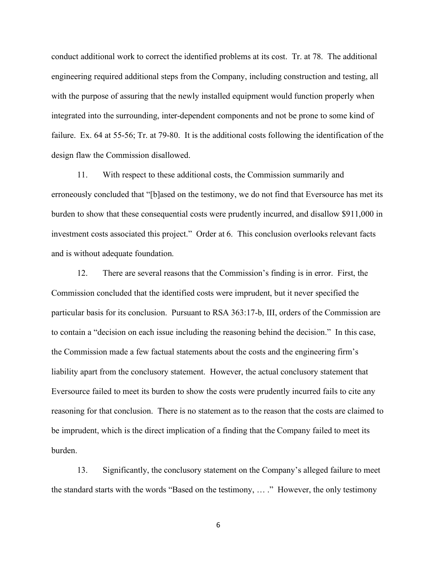conduct additional work to correct the identified problems at its cost. Tr. at 78. The additional engineering required additional steps from the Company, including construction and testing, all with the purpose of assuring that the newly installed equipment would function properly when integrated into the surrounding, inter-dependent components and not be prone to some kind of failure. Ex. 64 at 55-56; Tr. at 79-80. It is the additional costs following the identification of the design flaw the Commission disallowed.

11. With respect to these additional costs, the Commission summarily and erroneously concluded that "[b]ased on the testimony, we do not find that Eversource has met its burden to show that these consequential costs were prudently incurred, and disallow \$911,000 in investment costs associated this project." Order at 6. This conclusion overlooks relevant facts and is without adequate foundation.

12. There are several reasons that the Commission's finding is in error. First, the Commission concluded that the identified costs were imprudent, but it never specified the particular basis for its conclusion. Pursuant to RSA 363:17-b, III, orders of the Commission are to contain a "decision on each issue including the reasoning behind the decision." In this case, the Commission made a few factual statements about the costs and the engineering firm's liability apart from the conclusory statement. However, the actual conclusory statement that Eversource failed to meet its burden to show the costs were prudently incurred fails to cite any reasoning for that conclusion. There is no statement as to the reason that the costs are claimed to be imprudent, which is the direct implication of a finding that the Company failed to meet its burden.

13. Significantly, the conclusory statement on the Company's alleged failure to meet the standard starts with the words "Based on the testimony, … ." However, the only testimony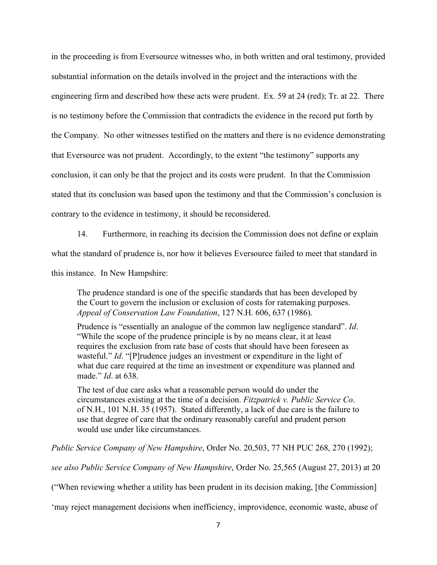in the proceeding is from Eversource witnesses who, in both written and oral testimony, provided substantial information on the details involved in the project and the interactions with the engineering firm and described how these acts were prudent. Ex. 59 at 24 (red); Tr. at 22. There is no testimony before the Commission that contradicts the evidence in the record put forth by the Company. No other witnesses testified on the matters and there is no evidence demonstrating that Eversource was not prudent. Accordingly, to the extent "the testimony" supports any conclusion, it can only be that the project and its costs were prudent. In that the Commission stated that its conclusion was based upon the testimony and that the Commission's conclusion is contrary to the evidence in testimony, it should be reconsidered.

14. Furthermore, in reaching its decision the Commission does not define or explain what the standard of prudence is, nor how it believes Eversource failed to meet that standard in this instance. In New Hampshire:

The prudence standard is one of the specific standards that has been developed by the Court to govern the inclusion or exclusion of costs for ratemaking purposes. *Appeal of Conservation Law Foundation*, 127 N.H. 606, 637 (1986).

Prudence is "essentially an analogue of the common law negligence standard". *Id*. "While the scope of the prudence principle is by no means clear, it at least requires the exclusion from rate base of costs that should have been foreseen as wasteful." *Id*. "[P]rudence judges an investment or expenditure in the light of what due care required at the time an investment or expenditure was planned and made." *Id*. at 638.

The test of due care asks what a reasonable person would do under the circumstances existing at the time of a decision. *Fitzpatrick v. Public Service Co*. of N.H., 101 N.H. 35 (1957). Stated differently, a lack of due care is the failure to use that degree of care that the ordinary reasonably careful and prudent person would use under like circumstances.

*Public Service Company of New Hampshire*, Order No. 20,503, 77 NH PUC 268, 270 (1992);

*see also Public Service Company of New Hampshire*, Order No. 25,565 (August 27, 2013) at 20

("When reviewing whether a utility has been prudent in its decision making, [the Commission]

'may reject management decisions when inefficiency, improvidence, economic waste, abuse of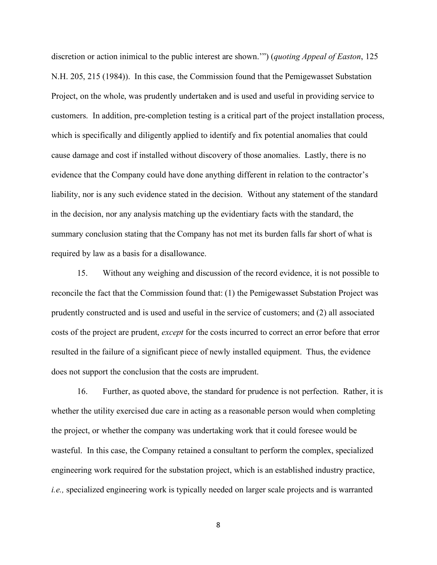discretion or action inimical to the public interest are shown.'") (*quoting Appeal of Easton*, 125 N.H. 205, 215 (1984)). In this case, the Commission found that the Pemigewasset Substation Project, on the whole, was prudently undertaken and is used and useful in providing service to customers. In addition, pre-completion testing is a critical part of the project installation process, which is specifically and diligently applied to identify and fix potential anomalies that could cause damage and cost if installed without discovery of those anomalies. Lastly, there is no evidence that the Company could have done anything different in relation to the contractor's liability, nor is any such evidence stated in the decision. Without any statement of the standard in the decision, nor any analysis matching up the evidentiary facts with the standard, the summary conclusion stating that the Company has not met its burden falls far short of what is required by law as a basis for a disallowance.

15. Without any weighing and discussion of the record evidence, it is not possible to reconcile the fact that the Commission found that: (1) the Pemigewasset Substation Project was prudently constructed and is used and useful in the service of customers; and (2) all associated costs of the project are prudent, *except* for the costs incurred to correct an error before that error resulted in the failure of a significant piece of newly installed equipment. Thus, the evidence does not support the conclusion that the costs are imprudent.

16. Further, as quoted above, the standard for prudence is not perfection. Rather, it is whether the utility exercised due care in acting as a reasonable person would when completing the project, or whether the company was undertaking work that it could foresee would be wasteful. In this case, the Company retained a consultant to perform the complex, specialized engineering work required for the substation project, which is an established industry practice, *i.e.,* specialized engineering work is typically needed on larger scale projects and is warranted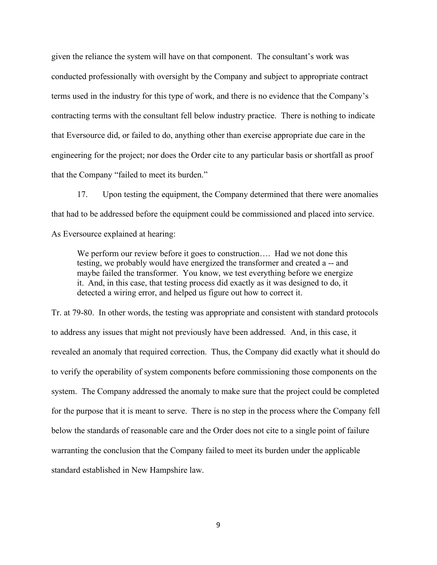given the reliance the system will have on that component. The consultant's work was conducted professionally with oversight by the Company and subject to appropriate contract terms used in the industry for this type of work, and there is no evidence that the Company's contracting terms with the consultant fell below industry practice. There is nothing to indicate that Eversource did, or failed to do, anything other than exercise appropriate due care in the engineering for the project; nor does the Order cite to any particular basis or shortfall as proof that the Company "failed to meet its burden."

17. Upon testing the equipment, the Company determined that there were anomalies that had to be addressed before the equipment could be commissioned and placed into service. As Eversource explained at hearing:

We perform our review before it goes to construction.... Had we not done this testing, we probably would have energized the transformer and created a -- and maybe failed the transformer. You know, we test everything before we energize it. And, in this case, that testing process did exactly as it was designed to do, it detected a wiring error, and helped us figure out how to correct it.

Tr. at 79-80. In other words, the testing was appropriate and consistent with standard protocols to address any issues that might not previously have been addressed. And, in this case, it revealed an anomaly that required correction. Thus, the Company did exactly what it should do to verify the operability of system components before commissioning those components on the system. The Company addressed the anomaly to make sure that the project could be completed for the purpose that it is meant to serve. There is no step in the process where the Company fell below the standards of reasonable care and the Order does not cite to a single point of failure warranting the conclusion that the Company failed to meet its burden under the applicable standard established in New Hampshire law.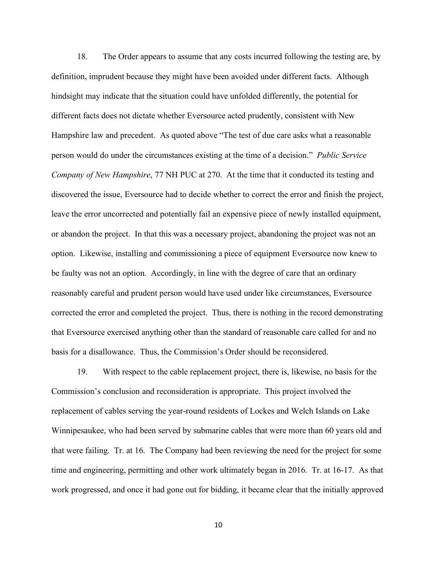18. The Order appears to assume that any costs incurred following the testing are, by definition, imprudent because they might have been avoided under different facts. Although hindsight may indicate that the situation could have unfolded differently, the potential for different facts does not dictate whether Eversource acted prudently, consistent with New Hampshire law and precedent. As quoted above "The test of due care asks what a reasonable person would do under the circumstances existing at the time of a decision." *Public Service Company of New Hampshire*, 77 NH PUC at 270. At the time that it conducted its testing and discovered the issue, Eversource had to decide whether to correct the error and finish the project, leave the error uncorrected and potentially fail an expensive piece of newly installed equipment, or abandon the project. In that this was a necessary project, abandoning the project was not an option. Likewise, installing and commissioning a piece of equipment Eversource now knew to be faulty was not an option. Accordingly, in line with the degree of care that an ordinary reasonably careful and prudent person would have used under like circumstances, Eversource corrected the error and completed the project. Thus, there is nothing in the record demonstrating that Eversource exercised anything other than the standard of reasonable care called for and no basis for a disallowance. Thus, the Commission's Order should be reconsidered.

19. With respect to the cable replacement project, there is, likewise, no basis for the Commission's conclusion and reconsideration is appropriate. This project involved the replacement of cables serving the year-round residents of Lockes and Welch Islands on Lake Winnipesaukee, who had been served by submarine cables that were more than 60 years old and that were failing. Tr. at 16. The Company had been reviewing the need for the project for some time and engineering, permitting and other work ultimately began in 2016. Tr. at 16-17. As that work progressed, and once it had gone out for bidding, it became clear that the initially approved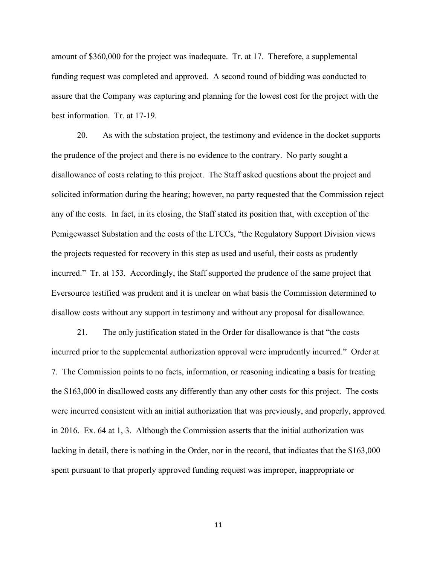amount of \$360,000 for the project was inadequate. Tr. at 17. Therefore, a supplemental funding request was completed and approved. A second round of bidding was conducted to assure that the Company was capturing and planning for the lowest cost for the project with the best information. Tr. at 17-19.

20. As with the substation project, the testimony and evidence in the docket supports the prudence of the project and there is no evidence to the contrary. No party sought a disallowance of costs relating to this project. The Staff asked questions about the project and solicited information during the hearing; however, no party requested that the Commission reject any of the costs. In fact, in its closing, the Staff stated its position that, with exception of the Pemigewasset Substation and the costs of the LTCCs, "the Regulatory Support Division views the projects requested for recovery in this step as used and useful, their costs as prudently incurred." Tr. at 153. Accordingly, the Staff supported the prudence of the same project that Eversource testified was prudent and it is unclear on what basis the Commission determined to disallow costs without any support in testimony and without any proposal for disallowance.

21. The only justification stated in the Order for disallowance is that "the costs incurred prior to the supplemental authorization approval were imprudently incurred." Order at 7. The Commission points to no facts, information, or reasoning indicating a basis for treating the \$163,000 in disallowed costs any differently than any other costs for this project. The costs were incurred consistent with an initial authorization that was previously, and properly, approved in 2016. Ex. 64 at 1, 3. Although the Commission asserts that the initial authorization was lacking in detail, there is nothing in the Order, nor in the record, that indicates that the \$163,000 spent pursuant to that properly approved funding request was improper, inappropriate or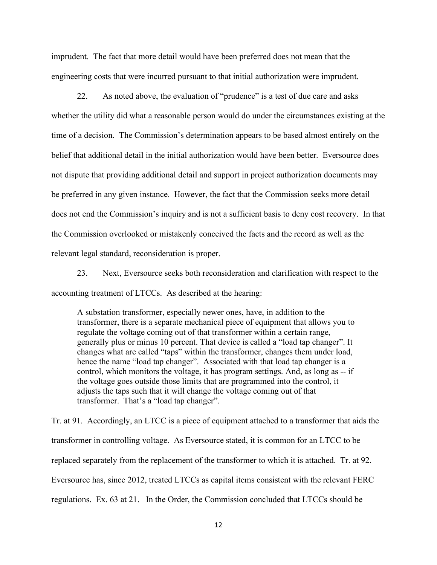imprudent. The fact that more detail would have been preferred does not mean that the engineering costs that were incurred pursuant to that initial authorization were imprudent.

22. As noted above, the evaluation of "prudence" is a test of due care and asks whether the utility did what a reasonable person would do under the circumstances existing at the time of a decision. The Commission's determination appears to be based almost entirely on the belief that additional detail in the initial authorization would have been better. Eversource does not dispute that providing additional detail and support in project authorization documents may be preferred in any given instance. However, the fact that the Commission seeks more detail does not end the Commission's inquiry and is not a sufficient basis to deny cost recovery. In that the Commission overlooked or mistakenly conceived the facts and the record as well as the relevant legal standard, reconsideration is proper.

23. Next, Eversource seeks both reconsideration and clarification with respect to the accounting treatment of LTCCs. As described at the hearing:

A substation transformer, especially newer ones, have, in addition to the transformer, there is a separate mechanical piece of equipment that allows you to regulate the voltage coming out of that transformer within a certain range, generally plus or minus 10 percent. That device is called a "load tap changer". It changes what are called "taps" within the transformer, changes them under load, hence the name "load tap changer". Associated with that load tap changer is a control, which monitors the voltage, it has program settings. And, as long as -- if the voltage goes outside those limits that are programmed into the control, it adjusts the taps such that it will change the voltage coming out of that transformer. That's a "load tap changer".

Tr. at 91. Accordingly, an LTCC is a piece of equipment attached to a transformer that aids the transformer in controlling voltage. As Eversource stated, it is common for an LTCC to be replaced separately from the replacement of the transformer to which it is attached. Tr. at 92. Eversource has, since 2012, treated LTCCs as capital items consistent with the relevant FERC regulations. Ex. 63 at 21. In the Order, the Commission concluded that LTCCs should be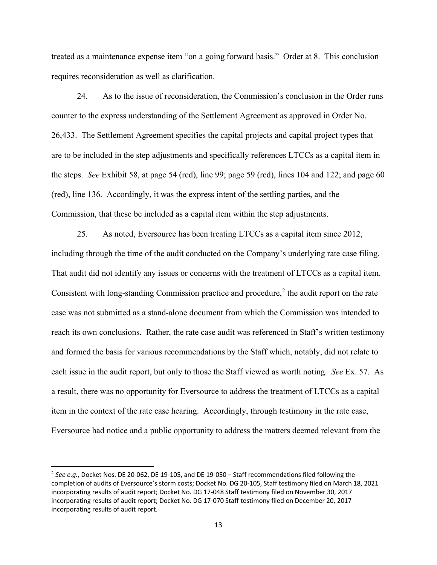treated as a maintenance expense item "on a going forward basis." Order at 8. This conclusion requires reconsideration as well as clarification.

24. As to the issue of reconsideration, the Commission's conclusion in the Order runs counter to the express understanding of the Settlement Agreement as approved in Order No. 26,433. The Settlement Agreement specifies the capital projects and capital project types that are to be included in the step adjustments and specifically references LTCCs as a capital item in the steps. *See* Exhibit 58, at page 54 (red), line 99; page 59 (red), lines 104 and 122; and page 60 (red), line 136. Accordingly, it was the express intent of the settling parties, and the Commission, that these be included as a capital item within the step adjustments.

25. As noted, Eversource has been treating LTCCs as a capital item since 2012, including through the time of the audit conducted on the Company's underlying rate case filing. That audit did not identify any issues or concerns with the treatment of LTCCs as a capital item. Consistent with long-standing Commission practice and procedure, $<sup>2</sup>$  $<sup>2</sup>$  $<sup>2</sup>$  the audit report on the rate</sup> case was not submitted as a stand-alone document from which the Commission was intended to reach its own conclusions. Rather, the rate case audit was referenced in Staff's written testimony and formed the basis for various recommendations by the Staff which, notably, did not relate to each issue in the audit report, but only to those the Staff viewed as worth noting. *See* Ex. 57. As a result, there was no opportunity for Eversource to address the treatment of LTCCs as a capital item in the context of the rate case hearing. Accordingly, through testimony in the rate case, Eversource had notice and a public opportunity to address the matters deemed relevant from the

<span id="page-12-0"></span><sup>2</sup> *See e.g.*, Docket Nos. DE 20-062, DE 19-105, and DE 19-050 – Staff recommendations filed following the completion of audits of Eversource's storm costs; Docket No. DG 20-105, Staff testimony filed on March 18, 2021 incorporating results of audit report; Docket No. DG 17-048 Staff testimony filed on November 30, 2017 incorporating results of audit report; Docket No. DG 17-070 Staff testimony filed on December 20, 2017 incorporating results of audit report.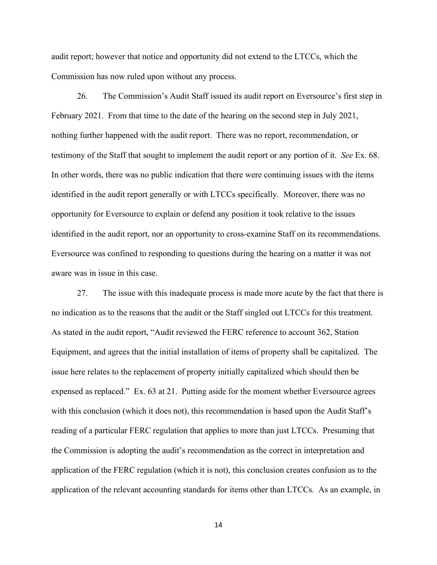audit report; however that notice and opportunity did not extend to the LTCCs, which the Commission has now ruled upon without any process.

26. The Commission's Audit Staff issued its audit report on Eversource's first step in February 2021. From that time to the date of the hearing on the second step in July 2021, nothing further happened with the audit report. There was no report, recommendation, or testimony of the Staff that sought to implement the audit report or any portion of it. *See* Ex. 68. In other words, there was no public indication that there were continuing issues with the items identified in the audit report generally or with LTCCs specifically. Moreover, there was no opportunity for Eversource to explain or defend any position it took relative to the issues identified in the audit report, nor an opportunity to cross-examine Staff on its recommendations. Eversource was confined to responding to questions during the hearing on a matter it was not aware was in issue in this case.

27. The issue with this inadequate process is made more acute by the fact that there is no indication as to the reasons that the audit or the Staff singled out LTCCs for this treatment. As stated in the audit report, "Audit reviewed the FERC reference to account 362, Station Equipment, and agrees that the initial installation of items of property shall be capitalized. The issue here relates to the replacement of property initially capitalized which should then be expensed as replaced." Ex. 63 at 21. Putting aside for the moment whether Eversource agrees with this conclusion (which it does not), this recommendation is based upon the Audit Staff's reading of a particular FERC regulation that applies to more than just LTCCs. Presuming that the Commission is adopting the audit's recommendation as the correct in interpretation and application of the FERC regulation (which it is not), this conclusion creates confusion as to the application of the relevant accounting standards for items other than LTCCs. As an example, in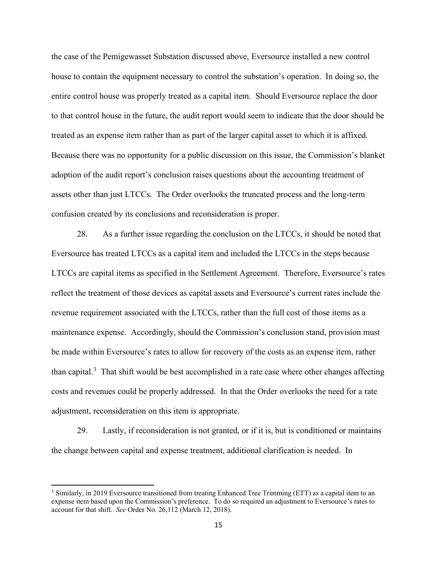the case of the Pemigewasset Substation discussed above, Eversource installed a new control house to contain the equipment necessary to control the substation's operation. In doing so, the entire control house was properly treated as a capital item. Should Eversource replace the door to that control house in the future, the audit report would seem to indicate that the door should be treated as an expense item rather than as part of the larger capital asset to which it is affixed. Because there was no opportunity for a public discussion on this issue, the Commission's blanket adoption of the audit report's conclusion raises questions about the accounting treatment of assets other than just LTCCs. The Order overlooks the truncated process and the long-term confusion created by its conclusions and reconsideration is proper.

28. As a further issue regarding the conclusion on the LTCCs, it should be noted that Eversource has treated LTCCs as a capital item and included the LTCCs in the steps because LTCCs are capital items as specified in the Settlement Agreement. Therefore, Eversource's rates reflect the treatment of those devices as capital assets and Eversource's current rates include the revenue requirement associated with the LTCCs, rather than the full cost of those items as a maintenance expense. Accordingly, should the Commission's conclusion stand, provision must be made within Eversource's rates to allow for recovery of the costs as an expense item, rather than capital.<sup>[3](#page-14-0)</sup> That shift would be best accomplished in a rate case where other changes affecting costs and revenues could be properly addressed. In that the Order overlooks the need for a rate adjustment, reconsideration on this item is appropriate.

29. Lastly, if reconsideration is not granted, or if it is, but is conditioned or maintains the change between capital and expense treatment, additional clarification is needed. In

<span id="page-14-0"></span><sup>&</sup>lt;sup>3</sup> Similarly, in 2019 Eversource transitioned from treating Enhanced Tree Trimming (ETT) as a capital item to an expense item based upon the Commission's preference. To do so required an adjustment to Eversource's rates to account for that shift. *See* Order No. 26,112 (March 12, 2018).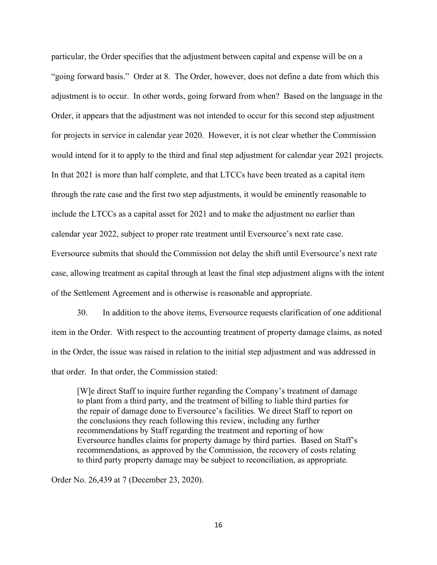particular, the Order specifies that the adjustment between capital and expense will be on a "going forward basis." Order at 8. The Order, however, does not define a date from which this adjustment is to occur. In other words, going forward from when? Based on the language in the Order, it appears that the adjustment was not intended to occur for this second step adjustment for projects in service in calendar year 2020. However, it is not clear whether the Commission would intend for it to apply to the third and final step adjustment for calendar year 2021 projects. In that 2021 is more than half complete, and that LTCCs have been treated as a capital item through the rate case and the first two step adjustments, it would be eminently reasonable to include the LTCCs as a capital asset for 2021 and to make the adjustment no earlier than calendar year 2022, subject to proper rate treatment until Eversource's next rate case. Eversource submits that should the Commission not delay the shift until Eversource's next rate case, allowing treatment as capital through at least the final step adjustment aligns with the intent of the Settlement Agreement and is otherwise is reasonable and appropriate.

30. In addition to the above items, Eversource requests clarification of one additional item in the Order. With respect to the accounting treatment of property damage claims, as noted in the Order, the issue was raised in relation to the initial step adjustment and was addressed in that order. In that order, the Commission stated:

[W]e direct Staff to inquire further regarding the Company's treatment of damage to plant from a third party, and the treatment of billing to liable third parties for the repair of damage done to Eversource's facilities. We direct Staff to report on the conclusions they reach following this review, including any further recommendations by Staff regarding the treatment and reporting of how Eversource handles claims for property damage by third parties. Based on Staff's recommendations, as approved by the Commission, the recovery of costs relating to third party property damage may be subject to reconciliation, as appropriate.

Order No. 26,439 at 7 (December 23, 2020).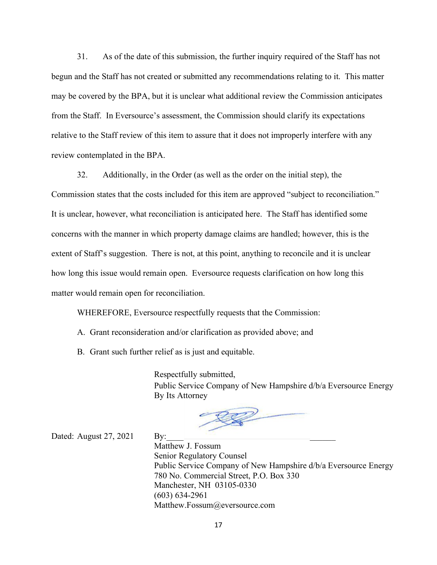31. As of the date of this submission, the further inquiry required of the Staff has not begun and the Staff has not created or submitted any recommendations relating to it. This matter may be covered by the BPA, but it is unclear what additional review the Commission anticipates from the Staff. In Eversource's assessment, the Commission should clarify its expectations relative to the Staff review of this item to assure that it does not improperly interfere with any review contemplated in the BPA.

32. Additionally, in the Order (as well as the order on the initial step), the Commission states that the costs included for this item are approved "subject to reconciliation." It is unclear, however, what reconciliation is anticipated here. The Staff has identified some concerns with the manner in which property damage claims are handled; however, this is the extent of Staff's suggestion. There is not, at this point, anything to reconcile and it is unclear how long this issue would remain open. Eversource requests clarification on how long this matter would remain open for reconciliation.

WHEREFORE, Eversource respectfully requests that the Commission:

- A. Grant reconsideration and/or clarification as provided above; and
- B. Grant such further relief as is just and equitable.

Respectfully submitted, Public Service Company of New Hampshire d/b/a Eversource Energy By Its Attorney

Dated: August  $27, 2021$  By:

Matthew J. Fossum Senior Regulatory Counsel Public Service Company of New Hampshire d/b/a Eversource Energy 780 No. Commercial Street, P.O. Box 330 Manchester, NH 03105-0330 (603) 634-2961 Matthew.Fossum@eversource.com